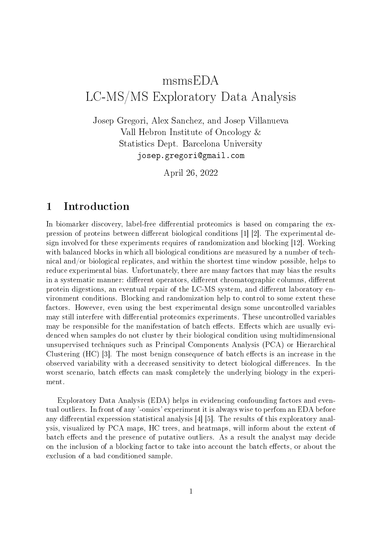# msmsEDA LC-MS/MS Exploratory Data Analysis

Josep Gregori, Alex Sanchez, and Josep Villanueva Vall Hebron Institute of Oncology & Statistics Dept. Barcelona University josep.gregori@gmail.com

April 26, 2022

#### 1 Introduction

In biomarker discovery, label-free differential proteomics is based on comparing the expression of proteins between different biological conditions  $[1]$  [2]. The experimental design involved for these experiments requires of randomization and blocking [12]. Working with balanced blocks in which all biological conditions are measured by a number of technical and/or biological replicates, and within the shortest time window possible, helps to reduce experimental bias. Unfortunately, there are many factors that may bias the results in a systematic manner: different operators, different chromatographic columns, different protein digestions, an eventual repair of the LC-MS system, and different laboratory environment conditions. Blocking and randomization help to control to some extent these factors. However, even using the best experimental design some uncontrolled variables may still interfere with differential proteomics experiments. These uncontrolled variables may be responsible for the manifestation of batch effects. Effects which are usually evidenced when samples do not cluster by their biological condition using multidimensional unsupervised techniques such as Principal Components Analysis (PCA) or Hierarchical Clustering  $(HC)$  [3]. The most benign consequence of batch effects is an increase in the observed variability with a decreased sensitivity to detect biological differences. In the worst scenario, batch effects can mask completely the underlying biology in the experiment.

Exploratory Data Analysis (EDA) helps in evidencing confounding factors and eventual outliers. In front of any '-omics' experiment it is always wise to perfom an EDA before any differential expression statistical analysis  $[4]$  [5]. The results of this exploratory analysis, visualized by PCA maps, HC trees, and heatmaps, will inform about the extent of batch effects and the presence of putative outliers. As a result the analyst may decide on the inclusion of a blocking factor to take into account the batch effects, or about the exclusion of a bad conditioned sample.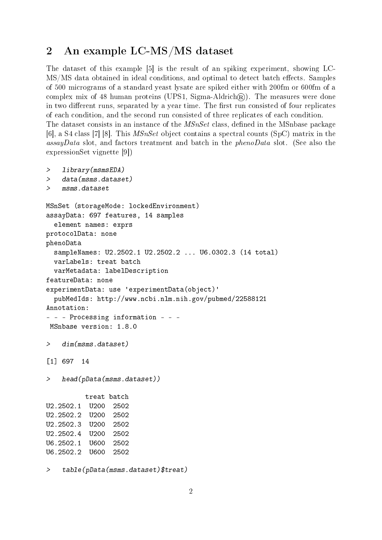## 2 An example LC-MS/MS dataset

The dataset of this example [5] is the result of an spiking experiment, showing LC-MS/MS data obtained in ideal conditions, and optimal to detect batch effects. Samples of 500 micrograms of a standard yeast lysate are spiked either with 200fm or 600fm of a complex mix of 48 human proteins (UPS1, Sigma-Aldrich $(\overline{R})$ ). The measures were done in two different runs, separated by a year time. The first run consisted of four replicates of each condition, and the second run consisted of three replicates of each condition. The dataset consists in an instance of the  $MSnSet$  class, defined in the MSnbase package [6], a S4 class [7] [8]. This MSnSet object contains a spectral counts (SpC) matrix in the assayData slot, and factors treatment and batch in the phenoData slot. (See also the expressionSet vignette [9])

```
> library(msmsEDA)
> data(msms.dataset)
> msms.dataset
MSnSet (storageMode: lockedEnvironment)
assayData: 697 features, 14 samples
  element names: exprs
protocolData: none
phenoData
 sampleNames: U2.2502.1 U2.2502.2 ... U6.0302.3 (14 total)
 varLabels: treat batch
 varMetadata: labelDescription
featureData: none
experimentData: use 'experimentData(object)'
 pubMedIds: http://www.ncbi.nlm.nih.gov/pubmed/22588121
Annotation:
- - - Processing information - - -
MSnbase version: 1.8.0
> dim(msms.dataset)
[1] 697 14
> head(pData(msms.dataset))
         treat batch
U2.2502.1 U200 2502
U2.2502.2 U200 2502
U2.2502.3 U200 2502
U2.2502.4 U200 2502
U6.2502.1 U600 2502
U6.2502.2 U600 2502
```
> table(pData(msms.dataset)\$treat)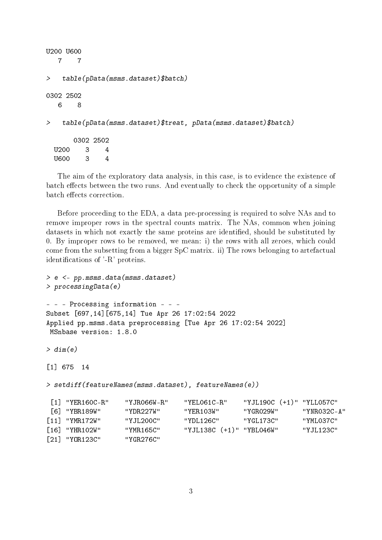```
U200 U600
  7 7
> table(pData(msms.dataset)$batch)
0302 2502
  6 8
> table(pData(msms.dataset)$treat, pData(msms.dataset)$batch)
      0302 2502
 U200 3 4
 U600 3 4
```
The aim of the exploratory data analysis, in this case, is to evidence the existence of batch effects between the two runs. And eventually to check the opportunity of a simple batch effects correction.

Before proceeding to the EDA, a data pre-processing is required to solve NAs and to remove improper rows in the spectral counts matrix. The NAs, common when joining datasets in which not exactly the same proteins are identified, should be substituted by 0. By improper rows to be removed, we mean: i) the rows with all zeroes, which could come from the subsetting from a bigger SpC matrix. ii) The rows belonging to artefactual identifications of '-R' proteins.

```
> e <- pp.msms.data(msms.dataset)
> processingData(e)
- - - Processing information - - -
Subset [697,14][675,14] Tue Apr 26 17:02:54 2022
Applied pp.msms.data preprocessing [Tue Apr 26 17:02:54 2022]
MSnbase version: 1.8.0
> dim(e)[1] 675 14
> setdiff(featureNames(msms.dataset), featureNames(e))
[1] "YER160C-R" "YJR066W-R" "YEL061C-R" "YJL190C (+1)" "YLL057C"
[6] "YBR189W" "YDR227W" "YER103W" "YGR029W" "YNR032C-A"
[11] "YMR172W" "YJL200C" "YDL126C" "YGL173C" "YML037C"
[16] "YHR102W" "YMR165C" "YJL138C (+1)" "YBL046W" "YJL123C"
[21] "YOR123C" "YGR276C"
```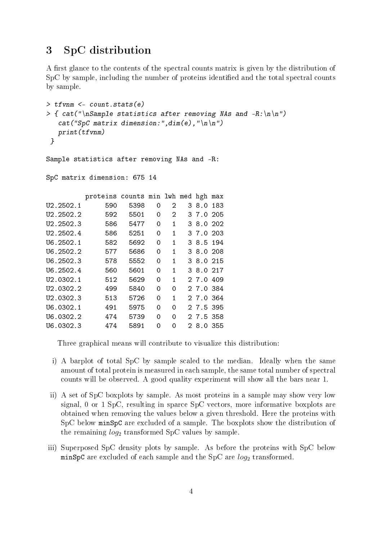### 3 SpC distribution

A first glance to the contents of the spectral counts matrix is given by the distribution of SpC by sample, including the number of proteins identified and the total spectral counts by sample.

```
> tfvnm <- count.stats(e)
> { cat("\nSample statistics after removing NAs and -R:\n\ln^n)
   cat("SpC matrix dimension:", dim(e), "\negthinspace"print(tfvnm)
 }
Sample statistics after removing NAs and -R:
```
SpC matrix dimension: 675 14

|                        | proteins | counts min lwh med |   |   |    | hgh       | max  |
|------------------------|----------|--------------------|---|---|----|-----------|------|
| U2.2502.1              | 590      | 5398               | 0 | 2 | 3  | 8.0       | 183  |
| U2.2502.2              | 592      | 5501               | 0 | 2 |    | 37.0      | 205  |
| U2.2502.3              | 586      | 5477               | 0 | 1 |    | 38.0      | -202 |
| U2.2502.4              | 586      | 5251               | 0 | 1 |    | 3 7.0     | 203  |
| U6.2502.1              | 582      | 5692               | 0 | 1 |    | 38.5      | 194  |
| U6.2502.2              | 577      | 5686               | 0 | 1 |    | 38.0      | 208  |
| U6.2502.3              | 578      | 5552               | 0 | 1 |    | 3 8.0 215 |      |
| U6.2502.4              | 560      | 5601               | 0 | 1 |    | 38.0      | -217 |
| U2.0302.1              | 512      | 5629               | 0 | 1 |    | 27.0      | 409  |
| U <sub>2</sub> .0302.2 | 499      | 5840               | 0 | 0 |    | 27.0384   |      |
| U2.0302.3              | 513      | 5726               | 0 | 1 |    | 27.0364   |      |
| U6.0302.1              | 491      | 5975               | 0 | 0 |    | 27.5395   |      |
| U6.0302.2              | 474      | 5739               | 0 | 0 |    | 27.5358   |      |
| U6.0302.3              | 474      | 5891               | 0 | 0 | 2. | 8.0       | 355  |

Three graphical means will contribute to visualize this distribution:

- i) A barplot of total SpC by sample scaled to the median. Ideally when the same amount of total protein is measured in each sample, the same total number of spectral counts will be observed. A good quality experiment will show all the bars near 1.
- ii) A set of SpC boxplots by sample. As most proteins in a sample may show very low signal, 0 or 1 SpC, resulting in sparce SpC vectors, more informative boxplots are obtained when removing the values below a given threshold. Here the proteins with SpC below minSpC are excluded of a sample. The boxplots show the distribution of the remaining  $log_2$  transformed SpC values by sample.
- iii) Superposed SpC density plots by sample. As before the proteins with SpC below minSpC are excluded of each sample and the SpC are  $log_2$  transformed.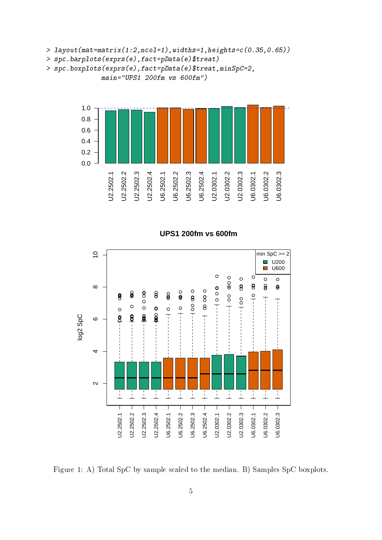> layout(mat=matrix(1:2,ncol=1),widths=1,heights=c(0.35,0.65))

```
> spc.barplots(exprs(e),fact=pData(e)$treat)
```

```
> spc.boxplots(exprs(e),fact=pData(e)$treat,minSpC=2,
              main="UPS1 200fm vs 600fm")
```


#### **UPS1 200fm vs 600fm**



Figure 1: A) Total SpC by sample scaled to the median. B) Samples SpC boxplots.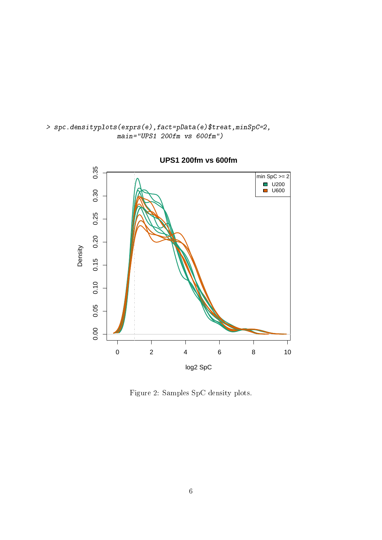

**UPS1 200fm vs 600fm**

> spc.densityplots(exprs(e),fact=pData(e)\$treat,minSpC=2,

main="UPS1 200fm vs 600fm")

Figure 2: Samples SpC density plots.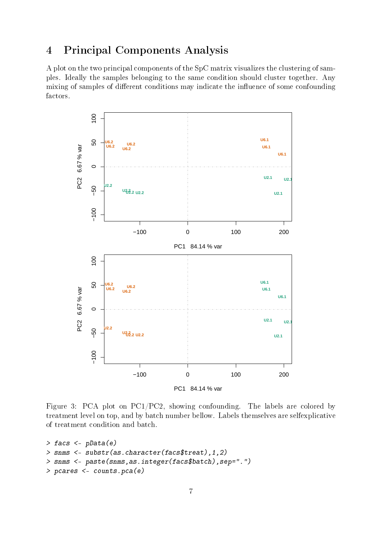# 4 Principal Components Analysis

A plot on the two principal components of the SpC matrix visualizes the clustering of samples. Ideally the samples belonging to the same condition should cluster together. Any mixing of samples of different conditions may indicate the influence of some confounding factors.



Figure 3: PCA plot on PC1/PC2, showing confounding. The labels are colored by treatment level on top, and by batch number bellow. Labels themselves are selfexplicative of treatment condition and batch.

```
> facs <- pData(e)
> snms <- substr(as.character(facs$treat),1,2)
> snms <- paste(snms,as.integer(facs$batch),sep=".")
> pcares <- counts.pca(e)
```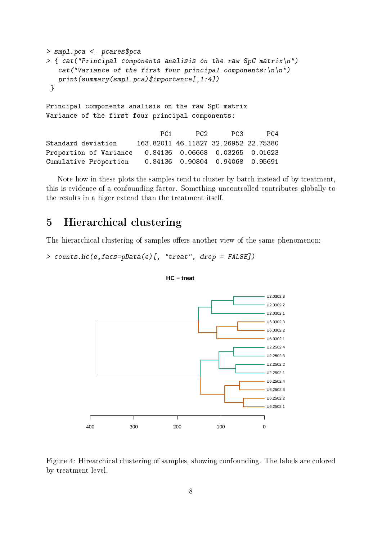```
> smpl.pca <- pcares$pca
> { cat("Principal components analisis on the raw SpC matrix\langle n'' \ranglecat("Variance of the first four principal components:\langle n \rangle n")
   print(summary(smpl.pca)$importance[,1:4])
 }
Principal components analisis on the raw SpC matrix
Variance of the first four principal components:
                             PC1 PC2 PC3 PC4
Standard deviation 163.82011 46.11827 32.26952 22.75380
Proportion of Variance 0.84136 0.06668 0.03265 0.01623
Cumulative Proportion 0.84136 0.90804 0.94068 0.95691
```
Note how in these plots the samples tend to cluster by batch instead of by treatment, this is evidence of a confounding factor. Something uncontrolled contributes globally to the results in a higer extend than the treatment itself.

#### 5 Hierarchical clustering

The hierarchical clustering of samples offers another view of the same phenomenon:

```
> counts.hc(e,facs=pData(e)[, "treat", drop = FALSE])
```

```
400 300 200 100 0
                                                                   U6.2502.1
                                                                   U6.2502.2
                                                                   U6.2502.3
                                                                   U6.2502.4
                                                                   U2.2502.1
                                                                   U<sub>2.2502.2</sub>
                                                                   U2.2502.3
                                                                   U2.2502.4
                                                                   U6.0302.1
                                                                   U6.0302.2
                                                                   U6.0302.3
                                                                   U2.0302.1
                                                                   U2.0302.2
                                                                   U2.0302.3
```

```
HC − treat
```
Figure 4: Hirearchical clustering of samples, showing confounding. The labels are colored by treatment level.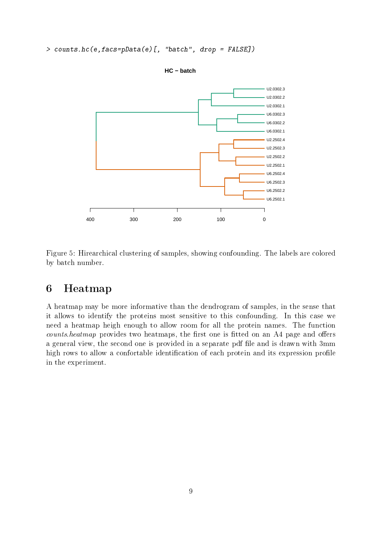> counts.hc(e,facs=pData(e)[, "batch", drop = FALSE])



**HC − batch**

Figure 5: Hirearchical clustering of samples, showing confounding. The labels are colored by batch number.

#### 6 Heatmap

A heatmap may be more informative than the dendrogram of samples, in the sense that it allows to identify the proteins most sensitive to this confounding. In this case we need a heatmap heigh enough to allow room for all the protein names. The function  $counts. \textit{heatmap}$  provides two heatmaps, the first one is fitted on an A4 page and offers a general view, the second one is provided in a separate pdf file and is drawn with 3mm high rows to allow a confortable identification of each protein and its expression profile in the experiment.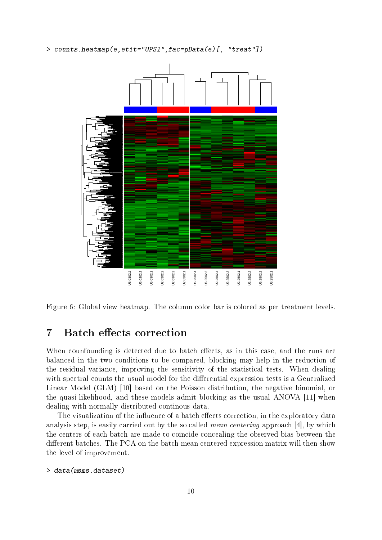> counts.heatmap(e,etit="UPS1",fac=pData(e)[, "treat"])



Figure 6: Global view heatmap. The column color bar is colored as per treatment levels.

#### 7 Batch effects correction

When counfounding is detected due to batch effects, as in this case, and the runs are balanced in the two conditions to be compared, blocking may help in the reduction of the residual variance, improving the sensitivity of the statistical tests. When dealing with spectral counts the usual model for the differential expression tests is a Generalized Linear Model (GLM) [10] based on the Poisson distribution, the negative binomial, or the quasi-likelihood, and these models admit blocking as the usual ANOVA [11] when dealing with normally distributed continous data.

The visualization of the influence of a batch effects correction, in the exploratory data analysis step, is easily carried out by the so called mean centering approach [4], by which the centers of each batch are made to coincide concealing the observed bias between the different batches. The PCA on the batch mean centered expression matrix will then show the level of improvement.

```
> data(msms.dataset)
```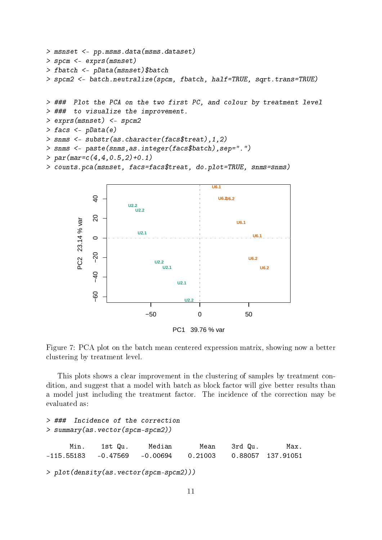```
> msnset <- pp.msms.data(msms.dataset)
> spcm <- exprs(msnset)
> fbatch <- pData(msnset)$batch
> spcm2 <- batch.neutralize(spcm, fbatch, half=TRUE, sqrt.trans=TRUE)
> ### Plot the PCA on the two first PC, and colour by treatment level
> ### to visualize the improvement.
> exprs(msnset) <- spcm2
> facs <- pData(e)
```

```
> snms <- substr(as.character(facs$treat),1,2)
```

```
> snms <- paste(snms,as.integer(facs$batch),sep=".")
```

```
> par(max=c(4,4,0.5,2)+0.1)
```

```
> counts.pca(msnset, facs=facs$treat, do.plot=TRUE, snms=snms)
```


Figure 7: PCA plot on the batch mean centered expression matrix, showing now a better clustering by treatment level.

This plots shows a clear improvement in the clustering of samples by treatment condition, and suggest that a model with batch as block factor will give better results than a model just including the treatment factor. The incidence of the correction may be evaluated as:

```
> ### Incidence of the correction
> summary(as.vector(spcm-spcm2))
     Min. 1st Qu. Median Mean 3rd Qu. Max.
-115.55183 -0.47569 -0.00694 0.21003 0.88057 137.91051
> plot(density(as.vector(spcm-spcm2)))
```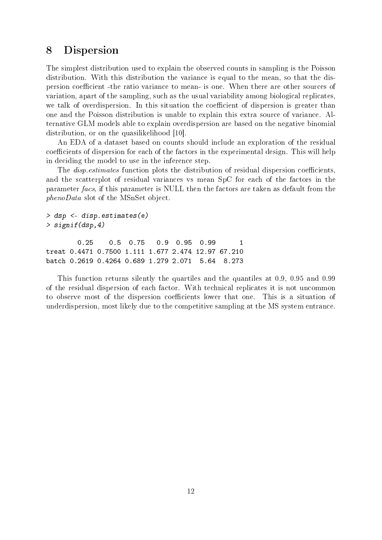#### 8 Dispersion

The simplest distribution used to explain the observed counts in sampling is the Poisson distribution. With this distribution the variance is equal to the mean, so that the dispersion coefficient -the ratio variance to mean- is one. When there are other sources of variation, apart of the sampling, such as the usual variability among biological replicates, we talk of overdispersion. In this situation the coefficient of dispersion is greater than one and the Poisson distribution is unable to explain this extra source of variance. Alternative GLM models able to explain overdispersion are based on the negative binomial distribution, or on the quasilikelihood [10].

An EDA of a dataset based on counts should include an exploration of the residual coefficients of dispersion for each of the factors in the experimental design. This will help in deciding the model to use in the inference step.

The *disp.estimates* function plots the distribution of residual dispersion coefficients, and the scatterplot of residual variances vs mean SpC for each of the factors in the parameter facs, if this parameter is NULL then the factors are taken as default from the phenoData slot of the MSnSet object.

```
> dsp <- disp.estimates(e)
> signif(dsp,4)
```
0.25 0.5 0.75 0.9 0.95 0.99 1 treat 0.4471 0.7500 1.111 1.677 2.474 12.97 67.210 batch 0.2619 0.4264 0.689 1.279 2.071 5.64 8.273

This function returns silently the quartiles and the quantiles at 0.9, 0.95 and 0.99 of the residual dispersion of each factor. With technical replicates it is not uncommon to observe most of the dispersion coefficients lower that one. This is a situation of underdispersion, most likely due to the competitive sampling at the MS system entrance.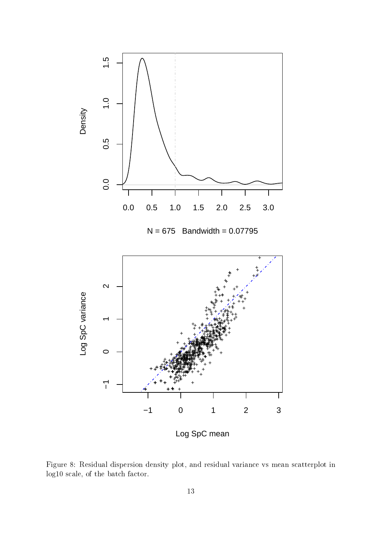

Figure 8: Residual dispersion density plot, and residual variance vs mean scatterplot in log10 scale, of the batch factor.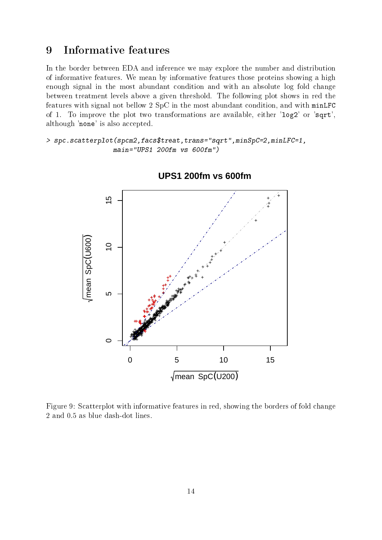#### 9 Informative features

In the border between EDA and inference we may explore the number and distribution of informative features. We mean by informative features those proteins showing a high enough signal in the most abundant condition and with an absolute log fold change between treatment levels above a given threshold. The following plot shows in red the features with signal not bellow 2 SpC in the most abundant condition, and with minLFC of 1. To improve the plot two transformations are available, either 'log2' or 'sqrt', although 'none' is also accepted.

> spc.scatterplot(spcm2,facs\$treat,trans="sqrt",minSpC=2,minLFC=1, main="UPS1 200fm vs 600fm")



**UPS1 200fm vs 600fm**

Figure 9: Scatterplot with informative features in red, showing the borders of fold change 2 and 0.5 as blue dash-dot lines.